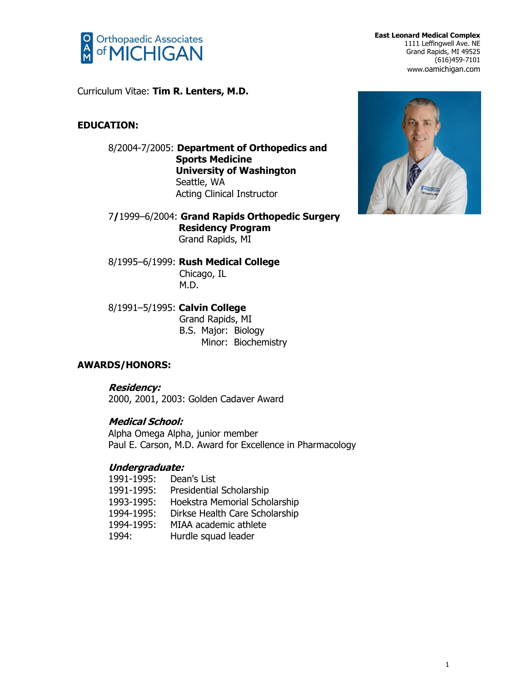

**East Leonard Medical Complex** 1111 Leffingwell Ave. NE Grand Rapids, MI 49525 (616)459-7101 www.oamichigan.com

Curriculum Vitae: **Tim R. Lenters, M.D.**

# **EDUCATION:**

8/2004-7/2005: **Department of Orthopedics and Sports Medicine University of Washington** Seattle, WA Acting Clinical Instructor

7**/**1999–6/2004: **Grand Rapids Orthopedic Surgery Residency Program** Grand Rapids, MI

8/1995–6/1999: **Rush Medical College** Chicago, IL M.D.

8/1991–5/1995: **Calvin College** Grand Rapids, MI B.S. Major: Biology Minor: Biochemistry

# **AWARDS/HONORS:**

**Residency:** 2000, 2001, 2003: Golden Cadaver Award

# **Medical School:**

Alpha Omega Alpha, junior member Paul E. Carson, M.D. Award for Excellence in Pharmacology

# **Undergraduate:**

| 1991-1995: | Dean's List                    |
|------------|--------------------------------|
| 1991-1995: | Presidential Scholarship       |
| 1993-1995: | Hoekstra Memorial Scholarship  |
| 1994-1995: | Dirkse Health Care Scholarship |
| 1994-1995: | MIAA academic athlete          |
| 1994:      | Hurdle squad leader            |

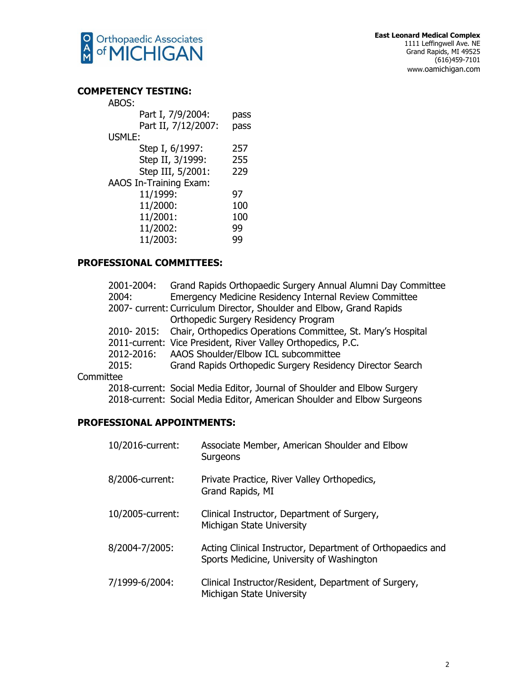

# **COMP**

| PETENCY TESTING:              |      |
|-------------------------------|------|
| ABOS:                         |      |
| Part I, 7/9/2004:             | pass |
| Part II, 7/12/2007:           | pass |
| <b>USMLE:</b>                 |      |
| Step I, 6/1997:               | 257  |
| Step II, 3/1999:              | 255  |
| Step III, 5/2001:             | 229  |
| <b>AAOS In-Training Exam:</b> |      |
| 11/1999:                      | 97   |
| 11/2000:                      | 100  |
| 11/2001:                      | 100  |
| 11/2002:                      | 99   |
| 11/2003:                      | qq   |
|                               |      |

# **PROFESSIONAL COMMITTEES:**

| 2001-2004: | Grand Rapids Orthopaedic Surgery Annual Alumni Day Committee            |
|------------|-------------------------------------------------------------------------|
| 2004:      | Emergency Medicine Residency Internal Review Committee                  |
|            | 2007- current: Curriculum Director, Shoulder and Elbow, Grand Rapids    |
|            | Orthopedic Surgery Residency Program                                    |
|            | 2010-2015: Chair, Orthopedics Operations Committee, St. Mary's Hospital |
|            | 2011-current: Vice President, River Valley Orthopedics, P.C.            |
|            | 2012-2016: AAOS Shoulder/Elbow ICL subcommittee                         |
| 2015:      | Grand Rapids Orthopedic Surgery Residency Director Search               |
| ittee      |                                                                         |
|            |                                                                         |

# Commi

2018-current: Social Media Editor, Journal of Shoulder and Elbow Surgery 2018-current: Social Media Editor, American Shoulder and Elbow Surgeons

# **PROFESSIONAL APPOINTMENTS:**

| 10/2016-current: | Associate Member, American Shoulder and Elbow<br>Surgeons                                               |
|------------------|---------------------------------------------------------------------------------------------------------|
| 8/2006-current:  | Private Practice, River Valley Orthopedics,<br>Grand Rapids, MI                                         |
| 10/2005-current: | Clinical Instructor, Department of Surgery,<br>Michigan State University                                |
| 8/2004-7/2005:   | Acting Clinical Instructor, Department of Orthopaedics and<br>Sports Medicine, University of Washington |
| 7/1999-6/2004:   | Clinical Instructor/Resident, Department of Surgery,<br>Michigan State University                       |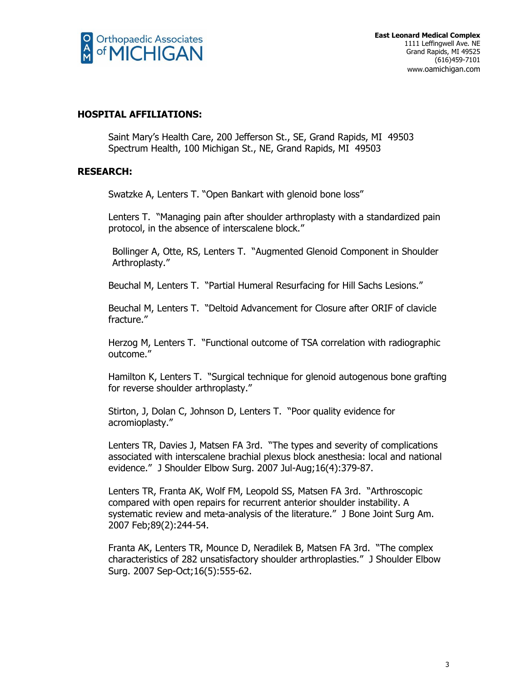

# **HOSPITAL AFFILIATIONS:**

Saint Mary's Health Care, 200 Jefferson St., SE, Grand Rapids, MI 49503 Spectrum Health, 100 Michigan St., NE, Grand Rapids, MI 49503

# **RESEARCH:**

Swatzke A, Lenters T. "Open Bankart with glenoid bone loss"

Lenters T. "Managing pain after shoulder arthroplasty with a standardized pain protocol, in the absence of interscalene block."

Bollinger A, Otte, RS, Lenters T. "Augmented Glenoid Component in Shoulder Arthroplasty."

Beuchal M, Lenters T. "Partial Humeral Resurfacing for Hill Sachs Lesions."

Beuchal M, Lenters T. "Deltoid Advancement for Closure after ORIF of clavicle fracture."

Herzog M, Lenters T. "Functional outcome of TSA correlation with radiographic outcome."

Hamilton K, Lenters T. "Surgical technique for glenoid autogenous bone grafting for reverse shoulder arthroplasty."

Stirton, J, Dolan C, Johnson D, Lenters T. "Poor quality evidence for acromioplasty."

Lenters TR, Davies J, Matsen FA 3rd. "The types and severity of complications associated with interscalene brachial plexus block anesthesia: local and national evidence." J Shoulder Elbow Surg. 2007 Jul-Aug;16(4):379-87.

Lenters TR, Franta AK, Wolf FM, Leopold SS, Matsen FA 3rd. "Arthroscopic compared with open repairs for recurrent anterior shoulder instability. A systematic review and meta-analysis of the literature." J Bone Joint Surg Am. 2007 Feb;89(2):244-54.

Franta AK, Lenters TR, Mounce D, Neradilek B, Matsen FA 3rd. "The complex characteristics of 282 unsatisfactory shoulder arthroplasties." J Shoulder Elbow Surg. 2007 Sep-Oct;16(5):555-62.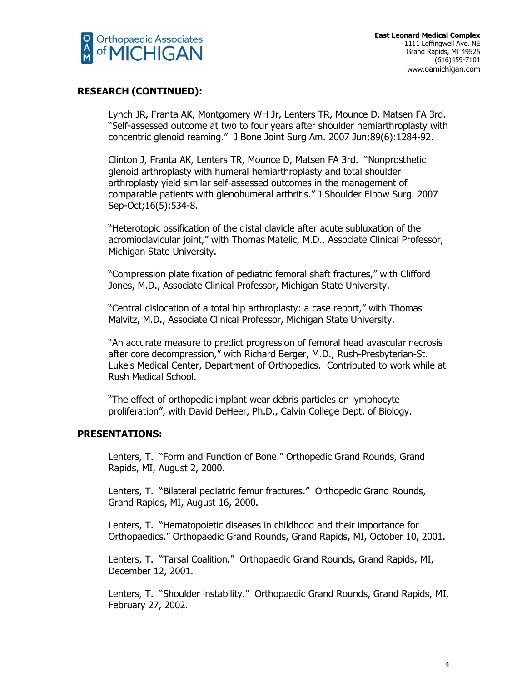

#### **RESEARCH (CONTINUED):**

Lynch JR, Franta AK, Montgomery WH Jr, Lenters TR, Mounce D, Matsen FA 3rd. "Self-assessed outcome at two to four years after shoulder hemiarthroplasty with concentric glenoid reaming." J Bone Joint Surg Am. 2007 Jun;89(6):1284-92.

Clinton J, Franta AK, Lenters TR, Mounce D, Matsen FA 3rd. "Nonprosthetic glenoid arthroplasty with humeral hemiarthroplasty and total shoulder arthroplasty yield similar self-assessed outcomes in the management of comparable patients with glenohumeral arthritis." J Shoulder Elbow Surg. 2007 Sep-Oct;16(5):534-8.

"Heterotopic ossification of the distal clavicle after acute subluxation of the acromioclavicular joint," with Thomas Matelic, M.D., Associate Clinical Professor, Michigan State University.

"Compression plate fixation of pediatric femoral shaft fractures," with Clifford Jones, M.D., Associate Clinical Professor, Michigan State University.

"Central dislocation of a total hip arthroplasty: a case report," with Thomas Malvitz, M.D., Associate Clinical Professor, Michigan State University.

"An accurate measure to predict progression of femoral head avascular necrosis after core decompression," with Richard Berger, M.D., Rush-Presbyterian-St. Luke's Medical Center, Department of Orthopedics. Contributed to work while at Rush Medical School.

"The effect of orthopedic implant wear debris particles on lymphocyte proliferation", with David DeHeer, Ph.D., Calvin College Dept. of Biology.

#### **PRESENTATIONS:**

Lenters, T. "Form and Function of Bone." Orthopedic Grand Rounds, Grand Rapids, MI, August 2, 2000.

Lenters, T. "Bilateral pediatric femur fractures." Orthopedic Grand Rounds, Grand Rapids, MI, August 16, 2000.

Lenters, T. "Hematopoietic diseases in childhood and their importance for Orthopaedics." Orthopaedic Grand Rounds, Grand Rapids, MI, October 10, 2001.

Lenters, T. "Tarsal Coalition." Orthopaedic Grand Rounds, Grand Rapids, MI, December 12, 2001.

Lenters, T. "Shoulder instability." Orthopaedic Grand Rounds, Grand Rapids, MI, February 27, 2002.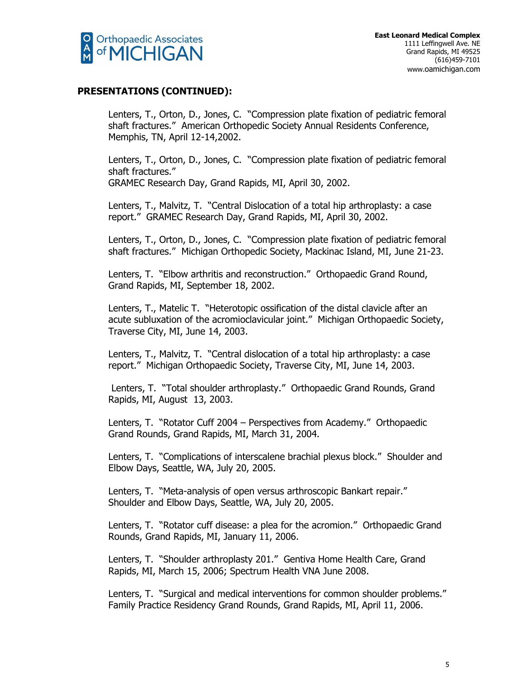

Lenters, T., Orton, D., Jones, C. "Compression plate fixation of pediatric femoral shaft fractures." American Orthopedic Society Annual Residents Conference, Memphis, TN, April 12-14,2002.

Lenters, T., Orton, D., Jones, C. "Compression plate fixation of pediatric femoral shaft fractures."

GRAMEC Research Day, Grand Rapids, MI, April 30, 2002.

Lenters, T., Malvitz, T. "Central Dislocation of a total hip arthroplasty: a case report." GRAMEC Research Day, Grand Rapids, MI, April 30, 2002.

Lenters, T., Orton, D., Jones, C. "Compression plate fixation of pediatric femoral shaft fractures." Michigan Orthopedic Society, Mackinac Island, MI, June 21-23.

Lenters, T. "Elbow arthritis and reconstruction." Orthopaedic Grand Round, Grand Rapids, MI, September 18, 2002.

Lenters, T., Matelic T. "Heterotopic ossification of the distal clavicle after an acute subluxation of the acromioclavicular joint." Michigan Orthopaedic Society, Traverse City, MI, June 14, 2003.

Lenters, T., Malvitz, T. "Central dislocation of a total hip arthroplasty: a case report." Michigan Orthopaedic Society, Traverse City, MI, June 14, 2003.

Lenters, T. "Total shoulder arthroplasty." Orthopaedic Grand Rounds, Grand Rapids, MI, August 13, 2003.

Lenters, T. "Rotator Cuff 2004 – Perspectives from Academy." Orthopaedic Grand Rounds, Grand Rapids, MI, March 31, 2004.

Lenters, T. "Complications of interscalene brachial plexus block." Shoulder and Elbow Days, Seattle, WA, July 20, 2005.

Lenters, T. "Meta-analysis of open versus arthroscopic Bankart repair." Shoulder and Elbow Days, Seattle, WA, July 20, 2005.

Lenters, T. "Rotator cuff disease: a plea for the acromion." Orthopaedic Grand Rounds, Grand Rapids, MI, January 11, 2006.

Lenters, T. "Shoulder arthroplasty 201." Gentiva Home Health Care, Grand Rapids, MI, March 15, 2006; Spectrum Health VNA June 2008.

Lenters, T. "Surgical and medical interventions for common shoulder problems." Family Practice Residency Grand Rounds, Grand Rapids, MI, April 11, 2006.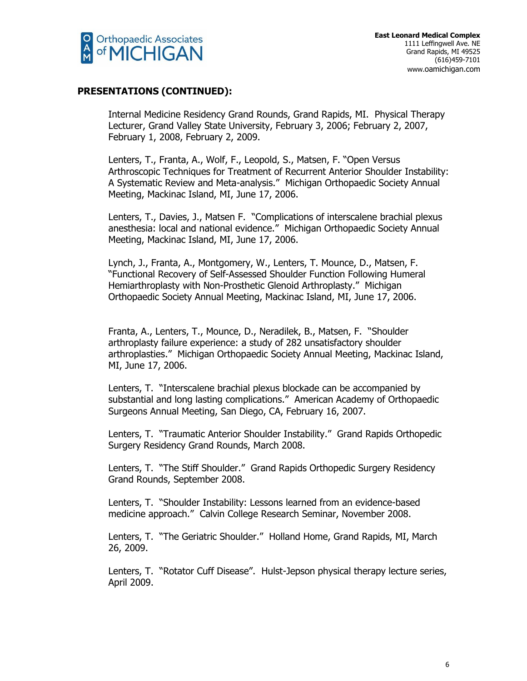

Internal Medicine Residency Grand Rounds, Grand Rapids, MI. Physical Therapy Lecturer, Grand Valley State University, February 3, 2006; February 2, 2007, February 1, 2008, February 2, 2009.

Lenters, T., Franta, A., Wolf, F., Leopold, S., Matsen, F. "Open Versus Arthroscopic Techniques for Treatment of Recurrent Anterior Shoulder Instability: A Systematic Review and Meta-analysis." Michigan Orthopaedic Society Annual Meeting, Mackinac Island, MI, June 17, 2006.

Lenters, T., Davies, J., Matsen F. "Complications of interscalene brachial plexus anesthesia: local and national evidence." Michigan Orthopaedic Society Annual Meeting, Mackinac Island, MI, June 17, 2006.

Lynch, J., Franta, A., Montgomery, W., Lenters, T. Mounce, D., Matsen, F. "Functional Recovery of Self-Assessed Shoulder Function Following Humeral Hemiarthroplasty with Non-Prosthetic Glenoid Arthroplasty." Michigan Orthopaedic Society Annual Meeting, Mackinac Island, MI, June 17, 2006.

Franta, A., Lenters, T., Mounce, D., Neradilek, B., Matsen, F. "Shoulder arthroplasty failure experience: a study of 282 unsatisfactory shoulder arthroplasties." Michigan Orthopaedic Society Annual Meeting, Mackinac Island, MI, June 17, 2006.

Lenters, T. "Interscalene brachial plexus blockade can be accompanied by substantial and long lasting complications." American Academy of Orthopaedic Surgeons Annual Meeting, San Diego, CA, February 16, 2007.

Lenters, T. "Traumatic Anterior Shoulder Instability." Grand Rapids Orthopedic Surgery Residency Grand Rounds, March 2008.

Lenters, T. "The Stiff Shoulder." Grand Rapids Orthopedic Surgery Residency Grand Rounds, September 2008.

Lenters, T. "Shoulder Instability: Lessons learned from an evidence-based medicine approach." Calvin College Research Seminar, November 2008.

Lenters, T. "The Geriatric Shoulder." Holland Home, Grand Rapids, MI, March 26, 2009.

Lenters, T. "Rotator Cuff Disease". Hulst-Jepson physical therapy lecture series, April 2009.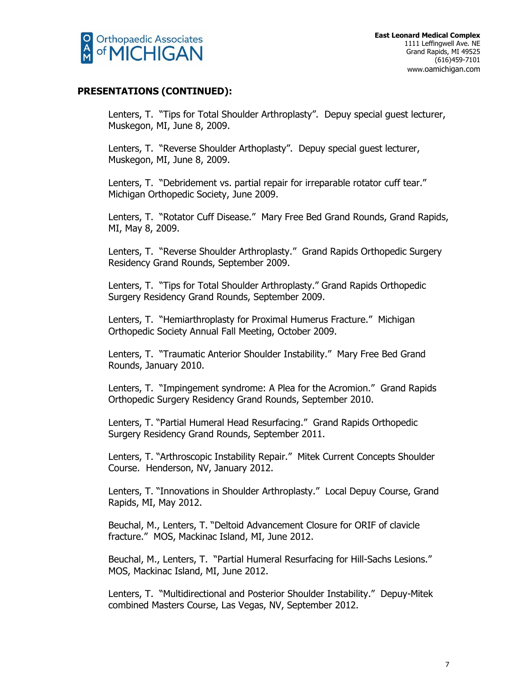

Lenters, T. "Tips for Total Shoulder Arthroplasty". Depuy special guest lecturer, Muskegon, MI, June 8, 2009.

Lenters, T. "Reverse Shoulder Arthoplasty". Depuy special guest lecturer, Muskegon, MI, June 8, 2009.

Lenters, T. "Debridement vs. partial repair for irreparable rotator cuff tear." Michigan Orthopedic Society, June 2009.

Lenters, T. "Rotator Cuff Disease." Mary Free Bed Grand Rounds, Grand Rapids, MI, May 8, 2009.

Lenters, T. "Reverse Shoulder Arthroplasty." Grand Rapids Orthopedic Surgery Residency Grand Rounds, September 2009.

Lenters, T. "Tips for Total Shoulder Arthroplasty." Grand Rapids Orthopedic Surgery Residency Grand Rounds, September 2009.

Lenters, T. "Hemiarthroplasty for Proximal Humerus Fracture." Michigan Orthopedic Society Annual Fall Meeting, October 2009.

Lenters, T. "Traumatic Anterior Shoulder Instability." Mary Free Bed Grand Rounds, January 2010.

Lenters, T. "Impingement syndrome: A Plea for the Acromion." Grand Rapids Orthopedic Surgery Residency Grand Rounds, September 2010.

Lenters, T. "Partial Humeral Head Resurfacing." Grand Rapids Orthopedic Surgery Residency Grand Rounds, September 2011.

Lenters, T. "Arthroscopic Instability Repair." Mitek Current Concepts Shoulder Course. Henderson, NV, January 2012.

Lenters, T. "Innovations in Shoulder Arthroplasty." Local Depuy Course, Grand Rapids, MI, May 2012.

Beuchal, M., Lenters, T. "Deltoid Advancement Closure for ORIF of clavicle fracture." MOS, Mackinac Island, MI, June 2012.

Beuchal, M., Lenters, T. "Partial Humeral Resurfacing for Hill-Sachs Lesions." MOS, Mackinac Island, MI, June 2012.

Lenters, T. "Multidirectional and Posterior Shoulder Instability." Depuy-Mitek combined Masters Course, Las Vegas, NV, September 2012.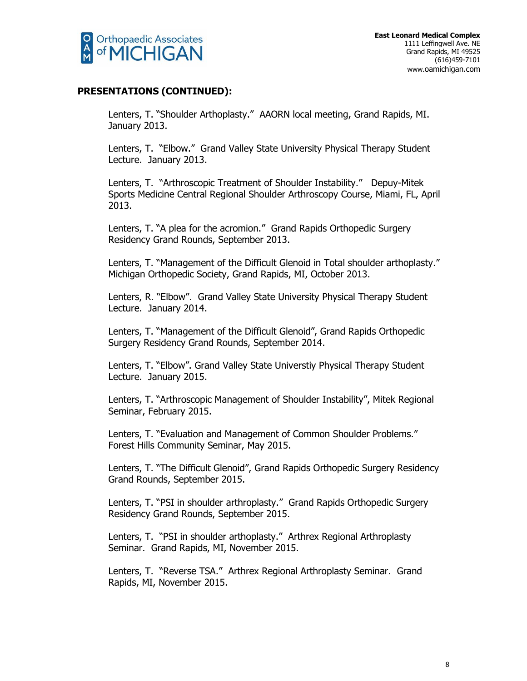

Lenters, T. "Shoulder Arthoplasty." AAORN local meeting, Grand Rapids, MI. January 2013.

Lenters, T. "Elbow." Grand Valley State University Physical Therapy Student Lecture. January 2013.

Lenters, T. "Arthroscopic Treatment of Shoulder Instability." Depuy-Mitek Sports Medicine Central Regional Shoulder Arthroscopy Course, Miami, FL, April 2013.

Lenters, T. "A plea for the acromion." Grand Rapids Orthopedic Surgery Residency Grand Rounds, September 2013.

Lenters, T. "Management of the Difficult Glenoid in Total shoulder arthoplasty." Michigan Orthopedic Society, Grand Rapids, MI, October 2013.

Lenters, R. "Elbow". Grand Valley State University Physical Therapy Student Lecture. January 2014.

Lenters, T. "Management of the Difficult Glenoid", Grand Rapids Orthopedic Surgery Residency Grand Rounds, September 2014.

Lenters, T. "Elbow". Grand Valley State Universtiy Physical Therapy Student Lecture. January 2015.

Lenters, T. "Arthroscopic Management of Shoulder Instability", Mitek Regional Seminar, February 2015.

Lenters, T. "Evaluation and Management of Common Shoulder Problems." Forest Hills Community Seminar, May 2015.

Lenters, T. "The Difficult Glenoid", Grand Rapids Orthopedic Surgery Residency Grand Rounds, September 2015.

Lenters, T. "PSI in shoulder arthroplasty." Grand Rapids Orthopedic Surgery Residency Grand Rounds, September 2015.

Lenters, T. "PSI in shoulder arthoplasty." Arthrex Regional Arthroplasty Seminar. Grand Rapids, MI, November 2015.

Lenters, T. "Reverse TSA." Arthrex Regional Arthroplasty Seminar. Grand Rapids, MI, November 2015.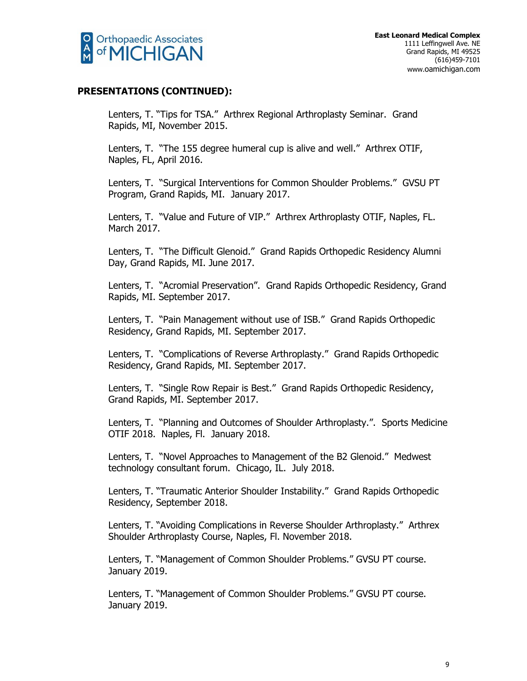

Lenters, T. "Tips for TSA." Arthrex Regional Arthroplasty Seminar. Grand Rapids, MI, November 2015.

Lenters, T. "The 155 degree humeral cup is alive and well." Arthrex OTIF, Naples, FL, April 2016.

Lenters, T. "Surgical Interventions for Common Shoulder Problems." GVSU PT Program, Grand Rapids, MI. January 2017.

Lenters, T. "Value and Future of VIP." Arthrex Arthroplasty OTIF, Naples, FL. March 2017.

Lenters, T. "The Difficult Glenoid." Grand Rapids Orthopedic Residency Alumni Day, Grand Rapids, MI. June 2017.

Lenters, T. "Acromial Preservation". Grand Rapids Orthopedic Residency, Grand Rapids, MI. September 2017.

Lenters, T. "Pain Management without use of ISB." Grand Rapids Orthopedic Residency, Grand Rapids, MI. September 2017.

Lenters, T. "Complications of Reverse Arthroplasty." Grand Rapids Orthopedic Residency, Grand Rapids, MI. September 2017.

Lenters, T. "Single Row Repair is Best." Grand Rapids Orthopedic Residency, Grand Rapids, MI. September 2017.

Lenters, T. "Planning and Outcomes of Shoulder Arthroplasty.". Sports Medicine OTIF 2018. Naples, Fl. January 2018.

Lenters, T. "Novel Approaches to Management of the B2 Glenoid." Medwest technology consultant forum. Chicago, IL. July 2018.

Lenters, T. "Traumatic Anterior Shoulder Instability." Grand Rapids Orthopedic Residency, September 2018.

Lenters, T. "Avoiding Complications in Reverse Shoulder Arthroplasty." Arthrex Shoulder Arthroplasty Course, Naples, Fl. November 2018.

Lenters, T. "Management of Common Shoulder Problems." GVSU PT course. January 2019.

Lenters, T. "Management of Common Shoulder Problems." GVSU PT course. January 2019.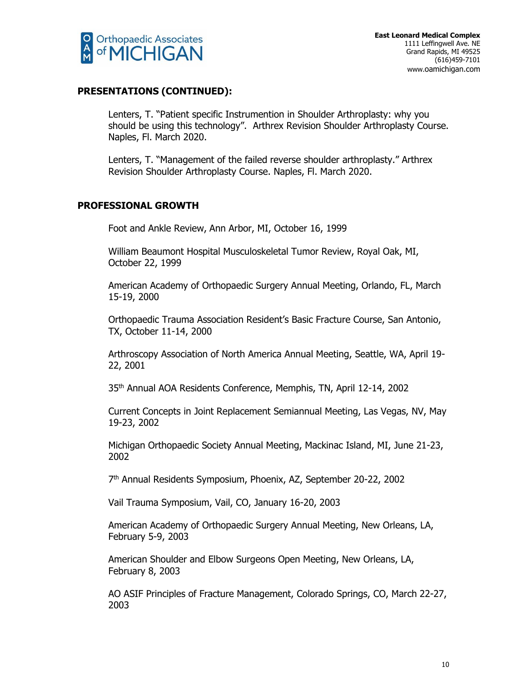

Lenters, T. "Patient specific Instrumention in Shoulder Arthroplasty: why you should be using this technology". Arthrex Revision Shoulder Arthroplasty Course. Naples, Fl. March 2020.

Lenters, T. "Management of the failed reverse shoulder arthroplasty." Arthrex Revision Shoulder Arthroplasty Course. Naples, Fl. March 2020.

# **PROFESSIONAL GROWTH**

Foot and Ankle Review, Ann Arbor, MI, October 16, 1999

William Beaumont Hospital Musculoskeletal Tumor Review, Royal Oak, MI, October 22, 1999

American Academy of Orthopaedic Surgery Annual Meeting, Orlando, FL, March 15-19, 2000

Orthopaedic Trauma Association Resident's Basic Fracture Course, San Antonio, TX, October 11-14, 2000

Arthroscopy Association of North America Annual Meeting, Seattle, WA, April 19- 22, 2001

35th Annual AOA Residents Conference, Memphis, TN, April 12-14, 2002

Current Concepts in Joint Replacement Semiannual Meeting, Las Vegas, NV, May 19-23, 2002

Michigan Orthopaedic Society Annual Meeting, Mackinac Island, MI, June 21-23, 2002

7 th Annual Residents Symposium, Phoenix, AZ, September 20-22, 2002

Vail Trauma Symposium, Vail, CO, January 16-20, 2003

American Academy of Orthopaedic Surgery Annual Meeting, New Orleans, LA, February 5-9, 2003

American Shoulder and Elbow Surgeons Open Meeting, New Orleans, LA, February 8, 2003

AO ASIF Principles of Fracture Management, Colorado Springs, CO, March 22-27, 2003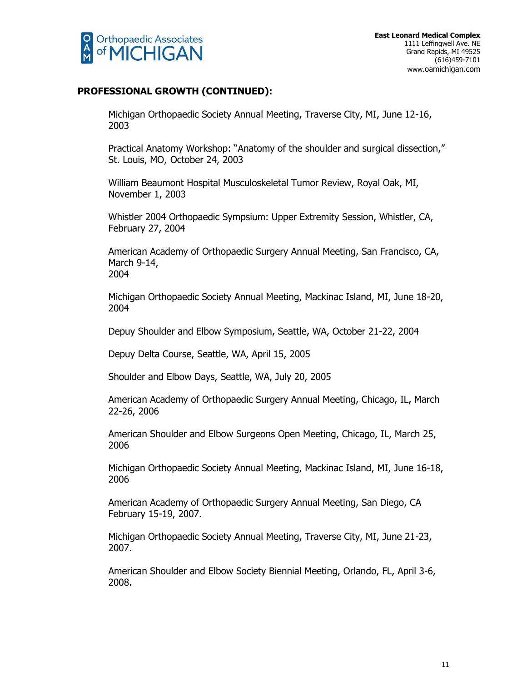

# **PROFESSIONAL GROWTH (CONTINUED):**

Michigan Orthopaedic Society Annual Meeting, Traverse City, MI, June 12-16, 2003

Practical Anatomy Workshop: "Anatomy of the shoulder and surgical dissection," St. Louis, MO, October 24, 2003

William Beaumont Hospital Musculoskeletal Tumor Review, Royal Oak, MI, November 1, 2003

Whistler 2004 Orthopaedic Sympsium: Upper Extremity Session, Whistler, CA, February 27, 2004

American Academy of Orthopaedic Surgery Annual Meeting, San Francisco, CA, March 9-14, 2004

Michigan Orthopaedic Society Annual Meeting, Mackinac Island, MI, June 18-20, 2004

Depuy Shoulder and Elbow Symposium, Seattle, WA, October 21-22, 2004

Depuy Delta Course, Seattle, WA, April 15, 2005

Shoulder and Elbow Days, Seattle, WA, July 20, 2005

American Academy of Orthopaedic Surgery Annual Meeting, Chicago, IL, March 22-26, 2006

American Shoulder and Elbow Surgeons Open Meeting, Chicago, IL, March 25, 2006

Michigan Orthopaedic Society Annual Meeting, Mackinac Island, MI, June 16-18, 2006

American Academy of Orthopaedic Surgery Annual Meeting, San Diego, CA February 15-19, 2007.

Michigan Orthopaedic Society Annual Meeting, Traverse City, MI, June 21-23, 2007.

American Shoulder and Elbow Society Biennial Meeting, Orlando, FL, April 3-6, 2008.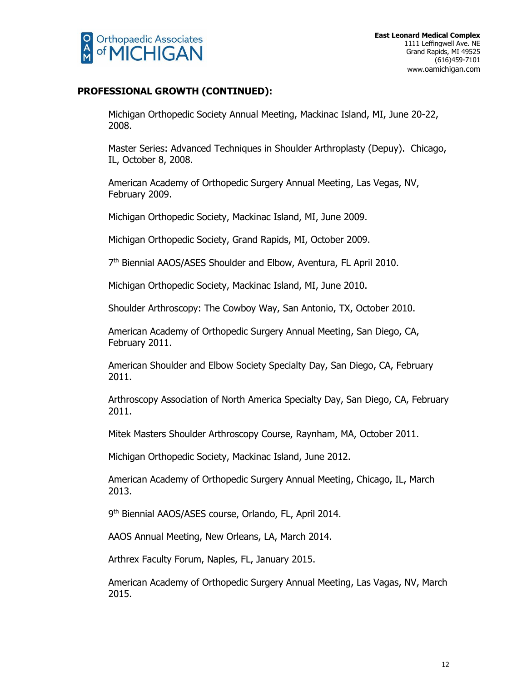

# **PROFESSIONAL GROWTH (CONTINUED):**

Michigan Orthopedic Society Annual Meeting, Mackinac Island, MI, June 20-22, 2008.

Master Series: Advanced Techniques in Shoulder Arthroplasty (Depuy). Chicago, IL, October 8, 2008.

American Academy of Orthopedic Surgery Annual Meeting, Las Vegas, NV, February 2009.

Michigan Orthopedic Society, Mackinac Island, MI, June 2009.

Michigan Orthopedic Society, Grand Rapids, MI, October 2009.

7<sup>th</sup> Biennial AAOS/ASES Shoulder and Elbow, Aventura, FL April 2010.

Michigan Orthopedic Society, Mackinac Island, MI, June 2010.

Shoulder Arthroscopy: The Cowboy Way, San Antonio, TX, October 2010.

American Academy of Orthopedic Surgery Annual Meeting, San Diego, CA, February 2011.

American Shoulder and Elbow Society Specialty Day, San Diego, CA, February 2011.

Arthroscopy Association of North America Specialty Day, San Diego, CA, February 2011.

Mitek Masters Shoulder Arthroscopy Course, Raynham, MA, October 2011.

Michigan Orthopedic Society, Mackinac Island, June 2012.

American Academy of Orthopedic Surgery Annual Meeting, Chicago, IL, March 2013.

9 th Biennial AAOS/ASES course, Orlando, FL, April 2014.

AAOS Annual Meeting, New Orleans, LA, March 2014.

Arthrex Faculty Forum, Naples, FL, January 2015.

American Academy of Orthopedic Surgery Annual Meeting, Las Vagas, NV, March 2015.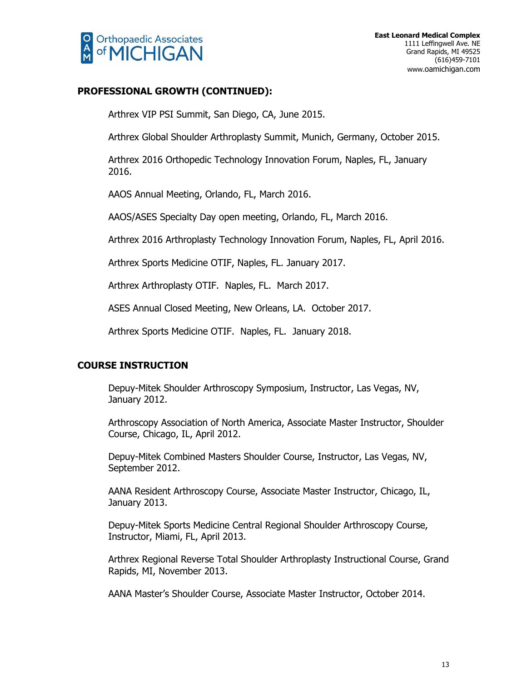

# **PROFESSIONAL GROWTH (CONTINUED):**

Arthrex VIP PSI Summit, San Diego, CA, June 2015.

Arthrex Global Shoulder Arthroplasty Summit, Munich, Germany, October 2015.

Arthrex 2016 Orthopedic Technology Innovation Forum, Naples, FL, January 2016.

AAOS Annual Meeting, Orlando, FL, March 2016.

AAOS/ASES Specialty Day open meeting, Orlando, FL, March 2016.

Arthrex 2016 Arthroplasty Technology Innovation Forum, Naples, FL, April 2016.

Arthrex Sports Medicine OTIF, Naples, FL. January 2017.

Arthrex Arthroplasty OTIF. Naples, FL. March 2017.

ASES Annual Closed Meeting, New Orleans, LA. October 2017.

Arthrex Sports Medicine OTIF. Naples, FL. January 2018.

# **COURSE INSTRUCTION**

Depuy-Mitek Shoulder Arthroscopy Symposium, Instructor, Las Vegas, NV, January 2012.

Arthroscopy Association of North America, Associate Master Instructor, Shoulder Course, Chicago, IL, April 2012.

Depuy-Mitek Combined Masters Shoulder Course, Instructor, Las Vegas, NV, September 2012.

AANA Resident Arthroscopy Course, Associate Master Instructor, Chicago, IL, January 2013.

Depuy-Mitek Sports Medicine Central Regional Shoulder Arthroscopy Course, Instructor, Miami, FL, April 2013.

Arthrex Regional Reverse Total Shoulder Arthroplasty Instructional Course, Grand Rapids, MI, November 2013.

AANA Master's Shoulder Course, Associate Master Instructor, October 2014.